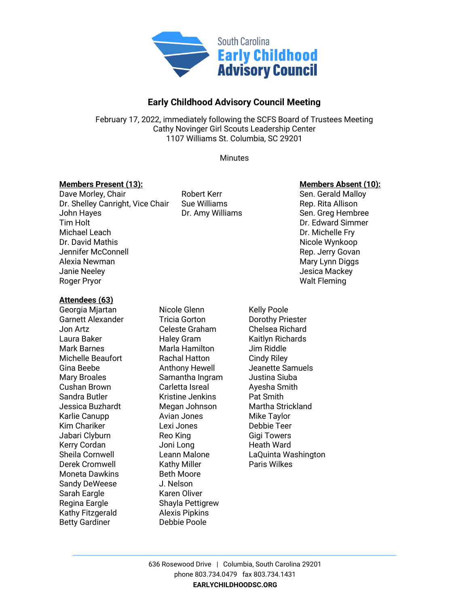

# **Early Childhood Advisory Council Meeting**

February 17, 2022, immediately following the SCFS Board of Trustees Meeting Cathy Novinger Girl Scouts Leadership Center 1107 Williams St. Columbia, SC 29201

**Minutes** 

### **Members Present (13): Members Absent (10):**

# Dave Morley, Chair **Notain Chair** Robert Kerr **Notain Sen. Gerald Malloy** Dr. Shelley Canright, Vice Chair Sue Williams (Rep. Rita Allison John Haves and Rep. Rita Allison Dr. Amy Williams Tim Holt Dr. Edward Simmer Michael Leach **Dr. Michael Leach** Dr. Michelle Fry Dr. David Mathis Nicole Wynkoop Jennifer McConnell **Accommendial Rep. Jerry Govan** Alexia Newman Mary Lynn Diggs and Alexia Newman Mary Lynn Diggs Janie Neeley Jesica Mackey Roger Pryor Note and The Contract of the Contract of the Walt Fleming

#### **Attendees (63)**

Georgia Mjartan **Nicole Glenn** Kelly Poole Garnett Alexander Tricia Gorton Dorothy Priester Jon Artz Celeste Graham Chelsea Richard Laura Baker **Haley Gram** Kaitlyn Richards Mark Barnes Marla Hamilton Jim Riddle Michelle Beaufort Rachal Hatton Cindy Riley Mary Broales **Samantha Ingram** Justina Siuba Cushan Brown **Carletta Isreal** Ayesha Smith Sandra Butler **Kristine Jenkins** Pat Smith Jessica Buzhardt Megan Johnson Martha Strickland Karlie Canupp **Avian Jones** Mike Taylor Kim Chariker **Lexi Jones** Chariker Chariker Lexi Jones Charies Debbie Teer Jabari Clyburn **Reo King** Reo King Gigi Towers Kerry Cordan **Martia** Joni Long **Heath Ward** Derek Cromwell **Kathy Miller** Paris Wilkes Moneta Dawkins **Beth Moore** Sandy DeWeese J. Nelson Sarah Eargle Karen Oliver Regina Eargle Shayla Pettigrew Kathy Fitzgerald Alexis Pipkins Betty Gardiner **Debbie Poole** 

Dr. Amy Williams Sen. Greg Hembree

Gina Beebe **Anthony Hewell** Jeanette Samuels Sheila Cornwell Leann Malone LaQuinta Washington